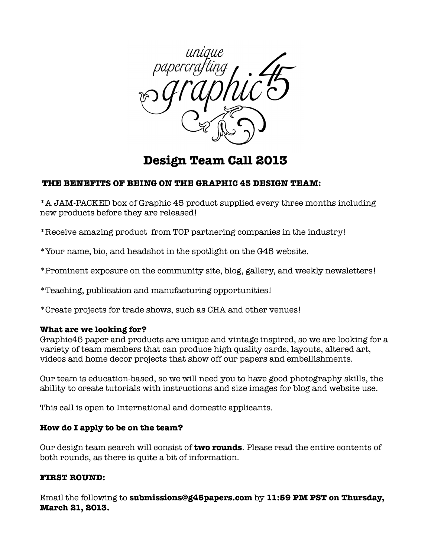

# **Design Team Call 2013**

### **THE BENEFITS OF BEING ON THE GRAPHIC 45 DESIGN TEAM:**

\*A JAM-PACKED box of Graphic 45 product supplied every three months including new products before they are released!

\*Receive amazing product from TOP partnering companies in the industry!

\*Your name, bio, and headshot in the spotlight on the G45 website.

\*Prominent exposure on the community site, blog, gallery, and weekly newsletters!

\*Teaching, publication and manufacturing opportunities!

\*Create projects for trade shows, such as CHA and other venues!

### **What are we looking for?**

Graphic45 paper and products are unique and vintage inspired, so we are looking for a variety of team members that can produce high quality cards, layouts, altered art, videos and home decor projects that show off our papers and embellishments.

Our team is education-based, so we will need you to have good photography skills, the ability to create tutorials with instructions and size images for blog and website use.

This call is open to International and domestic applicants.

### **How do I apply to be on the team?**

Our design team search will consist of **two rounds**. Please read the entire contents of both rounds, as there is quite a bit of information.

## **FIRST ROUND:**

Email the following to **submissions@g45papers.com** by **11:59 PM PST on Thursday, March 21, 2013.**